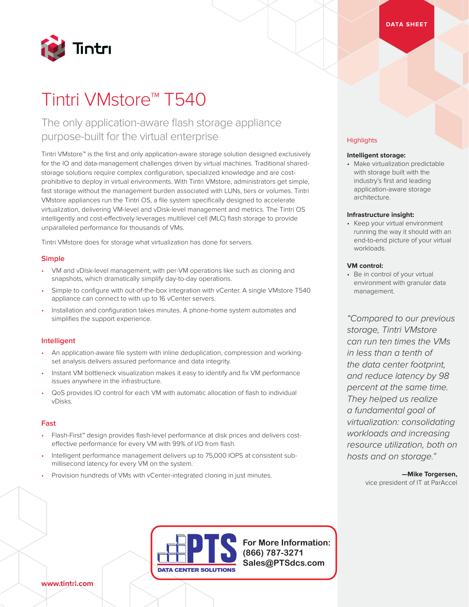# The only application-aware flash storage appliance purpose-built for the virtual enterprise

Tintri VMstore™ is the first and only application-aware storage solution designed exclusively for the IO and data-management challenges driven by virtual machines. Traditional sharedstorage solutions require complex configuration, specialized knowledge and are costprohibitive to deploy in virtual environments. With Tintri VMstore, administrators get simple, fast storage without the management burden associated with LUNs, tiers or volumes. Tintri VMstore appliances run the Tintri OS, a file system specifically designed to accelerate virtualization, delivering VM-level and vDisk-level management and metrics. The Tintri OS intelligently and cost-effectively leverages multilevel cell (MLC) flash storage to provide unparalleled performance for thousands of VMs.

Tintri VMstore does for storage what virtualization has done for servers.

## **Simple**

- VM and vDisk-level management, with per-VM operations like such as cloning and snapshots, which dramatically simplify day-to-day operations.
- Simple to configure with out-of-the-box integration with vCenter. A single VMstore T540 appliance can connect to with up to 16 vCenter servers.
- Installation and configuration takes minutes. A phone-home system automates and simplifies the support experience.

#### **Intelligent**

- An application-aware file system with inline deduplication, compression and workingset analysis delivers assured performance and data integrity.
- Instant VM bottleneck visualization makes it easy to identify and fix VM performance issues anywhere in the infrastructure.
- QoS provides IO control for each VM with automatic allocation of flash to individual vDisks.

#### **Fast**

- Flash-First™ design provides flash-level performance at disk prices and delivers costeffective performance for every VM with 99% of I/O from flash.
- Intelligent performance management delivers up to 75,000 IOPS at consistent submillisecond latency for every VM on the system.

DATA CENTER SOLUTIONS

• Provision hundreds of VMs with vCenter-integrated cloning in just minutes.

#### **Highlights**

## **Intelligent storage:**

• Make virtualization predictable with storage built with the industry's first and leading application-aware storage architecture.

#### **Infrastructure insight:**

• Keep your virtual environment running the way it should with an end-to-end picture of your virtual workloads.

#### **VM control:**

• Be in control of your virtual environment with granular data management.

*"Compared to our previous storage, Tintri VMstore can run ten times the VMs in less than a tenth of the data center footprint, and reduce latency by 98 percent at the same time. They helped us realize a fundamental goal of virtualization: consolidating workloads and increasing resource utilization, both on hosts and on storage."* 

> **—Mike Torgersen,**  vice president of IT at ParAccel

**For More Information: (866) 787-3271 Sales@PTSdcs.com**